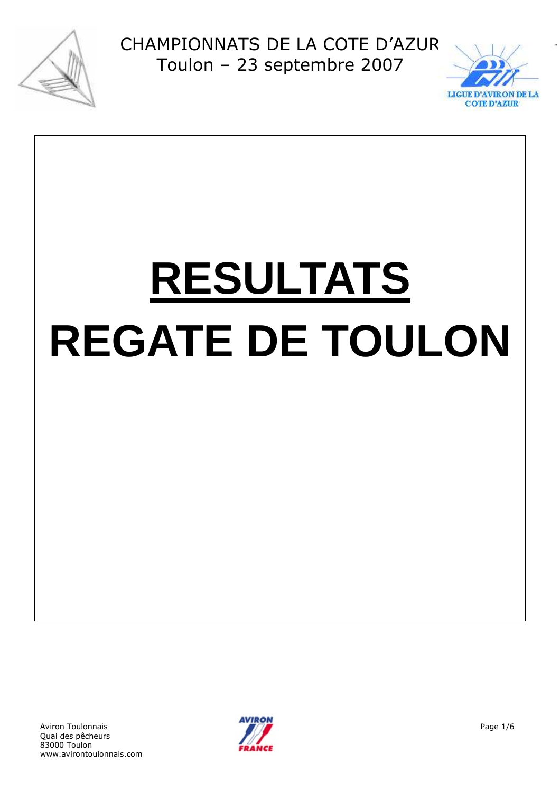



# **RESULTATS REGATE DE TOULON**

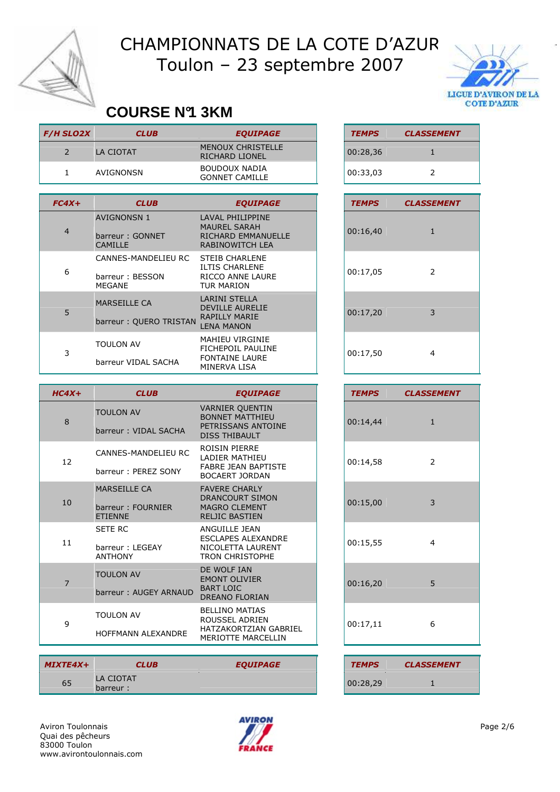



#### **COURSE N°1 3KM**

| <b>F/H SLO2X</b> | <b>CLUB</b>                                                | <b>EQUIPAGE</b>                                                                                                          | <b>TEMPS</b> | <b>CLASSEMENT</b> |
|------------------|------------------------------------------------------------|--------------------------------------------------------------------------------------------------------------------------|--------------|-------------------|
| $\overline{2}$   | LA CIOTAT                                                  | <b>MENOUX CHRISTELLE</b><br>RICHARD LIONEL                                                                               | 00:28,36     | $\mathbf{1}$      |
| 1                | AVIGNONSN                                                  | BOUDOUX NADIA<br><b>GONNET CAMILLE</b>                                                                                   | 00:33,03     | $\overline{2}$    |
|                  |                                                            |                                                                                                                          |              |                   |
| $FC4X+$          | <b>CLUB</b>                                                | <b>EQUIPAGE</b>                                                                                                          | <b>TEMPS</b> | <b>CLASSEMENT</b> |
| $\overline{4}$   | <b>AVIGNONSN 1</b><br>barreur: GONNET<br><b>CAMILLE</b>    | <b>LAVAL PHILIPPINE</b><br><b>MAUREL SARAH</b><br>RICHARD EMMANUELLE<br><b>RABINOWITCH LEA</b>                           | 00:16,40     | $\mathbf{1}$      |
| 6                | CANNES-MANDELIEU RC<br>barreur: BESSON<br><b>MEGANE</b>    | <b>STEIB CHARLENE</b><br><b>ILTIS CHARLENE</b><br>RICCO ANNE LAURE<br><b>TUR MARION</b>                                  | 00:17,05     | $\overline{2}$    |
| 5                | <b>MARSEILLE CA</b><br>barreur: QUERO TRISTAN              | <b>LARINI STELLA</b><br><b>DEVILLE AURELIE</b><br><b>RAPILLY MARIE</b><br><b>LENA MANON</b>                              | 00:17,20     | 3                 |
| 3                | TOULON AV<br>barreur VIDAL SACHA                           | <b>MAHIEU VIRGINIE</b><br>FICHEPOIL PAULINE<br><b>FONTAINE LAURE</b><br>MINERVA LISA                                     | 00:17,50     | 4                 |
|                  |                                                            |                                                                                                                          |              |                   |
|                  |                                                            |                                                                                                                          |              |                   |
| $HC4X+$          | <b>CLUB</b>                                                | <b>EQUIPAGE</b>                                                                                                          | <b>TEMPS</b> | <b>CLASSEMENT</b> |
| 8                | <b>TOULON AV</b><br>barreur: VIDAL SACHA                   | <b>VARNIER QUENTIN</b><br><b>BONNET MATTHIEU</b><br>PETRISSANS ANTOINE<br><b>DISS THIBAULT</b>                           | 00:14,44     | $\mathbf{1}$      |
| 12               | CANNES-MANDELIEU RC<br>barreur: PEREZ SONY                 | ROISIN PIERRE<br><b>LADIER MATHIEU</b><br><b>FABRE JEAN BAPTISTE</b>                                                     | 00:14,58     | $\overline{2}$    |
| 10               | <b>MARSEILLE CA</b><br>barreur: FOURNIER<br><b>ETIENNE</b> | <b>BOCAERT JORDAN</b><br><b>FAVERE CHARLY</b><br><b>DRANCOURT SIMON</b><br><b>MAGRO CLEMENT</b><br><b>RELJIC BASTIEN</b> | 00:15,00     | 3                 |
| 11               | <b>SETE RC</b><br>barreur : LEGEAY<br><b>ANTHONY</b>       | ANGUILLE JEAN<br><b>ESCLAPES ALEXANDRE</b><br>NICOLETTA LAURENT<br><b>TRON CHRISTOPHE</b>                                | 00:15,55     | 4                 |
| $\overline{7}$   | <b>TOULON AV</b><br>barreur: AUGEY ARNAUD                  | DE WOLF IAN<br><b>EMONT OLIVIER</b><br><b>BART LOIC</b><br><b>DREANO FLORIAN</b>                                         | 00:16,20     | 5                 |

| MIXTE4X+ | <b>CLUB</b>           | <b>EQUIPAGE</b> | <b>TEMPS</b> | <b>CLASSEMENT</b> |
|----------|-----------------------|-----------------|--------------|-------------------|
| 65       | LA CIOTAT<br>barreur: |                 | 00:28.29     |                   |



| <b>TEMPS</b> | <b>CLASSEMENT</b> |
|--------------|-------------------|
| 00:28,36     |                   |
| 00:33,03     | っ                 |

| <b>TEMPS</b> | <b>CLASSEMENT</b> |
|--------------|-------------------|
| 00:16,40     | 1                 |
| 00:17,05     | 2                 |
| 00:17,20     | 3                 |
| 00:17,50     | 4                 |

| <b>TEMPS</b> | <b>CLASSEMENT</b> |
|--------------|-------------------|
| 00:14,44     | $\mathbf{1}$      |
| 00:14,58     | 2                 |
| 00:15,00     | 3                 |
| 00:15,55     | 4                 |
| 00:16,20     | 5                 |
| 00:17,11     | 6                 |
|              |                   |
| <b>TEMPS</b> | <b>CLASSEMENT</b> |

| <b>TEMPS</b> | <b>CLASSEMENT</b> |
|--------------|-------------------|
| 00:28,29     |                   |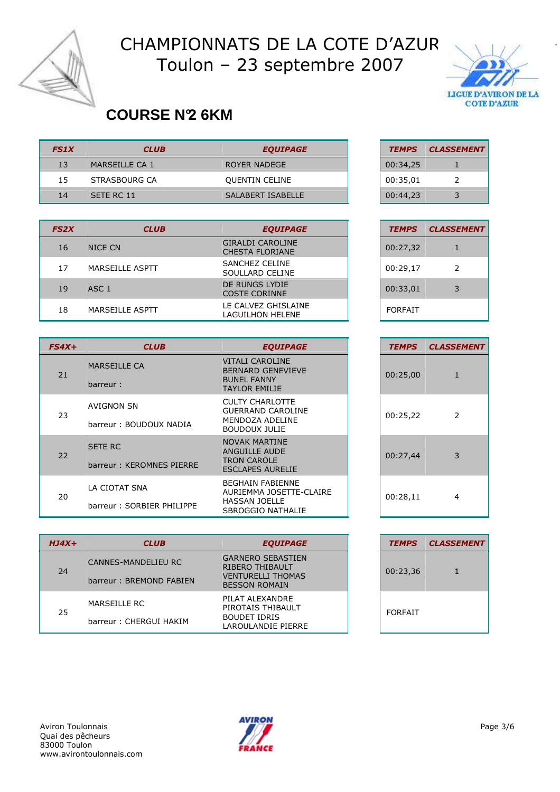



#### **COURSE N°2 6KM**

| <b>FS1X</b> | <b>CLUB</b>    | <b>EQUIPAGE</b>       | <b>TEMPS</b> | <b>CLASSEMENT</b> |
|-------------|----------------|-----------------------|--------------|-------------------|
| 13          | MARSEILLE CA 1 | ROYER NADEGE          | 00:34,25     |                   |
| 15          | STRASBOURG CA  | <b>QUENTIN CELINE</b> | 00:35,01     |                   |
| 14          | SETE RC 11     | SALABERT ISABELLE     | 00:44,23     |                   |

| <b>FS2X</b> | <b>CLUB</b>      | <b>EQUIPAGE</b>                                   | <b>TEMPS</b>   | <b>CLASSEMENT</b> |
|-------------|------------------|---------------------------------------------------|----------------|-------------------|
| 16          | NICE CN          | <b>GIRALDI CAROLINE</b><br><b>CHESTA FLORIANE</b> | 00:27,32       |                   |
| 17          | MARSEILLE ASPTT  | SANCHEZ CELINE<br>SOULLARD CELINE                 | 00:29,17       | 2                 |
| 19          | ASC <sub>1</sub> | DE RUNGS LYDIE<br><b>COSTE CORINNE</b>            | 00:33,01       | 3                 |
| 18          | MARSEILLE ASPTT  | LE CALVEZ GHISLAINE<br>LAGUILHON HELENE           | <b>FORFAIT</b> |                   |

| $FS4X+$ | <b>CLUB</b>               | <b>EQUIPAGE</b>                                    | <b>TEMPS</b> | <b>CLASSEMENT</b> |
|---------|---------------------------|----------------------------------------------------|--------------|-------------------|
| 21      | <b>MARSEILLE CA</b>       | <b>VITALI CAROLINE</b><br><b>BERNARD GENEVIEVE</b> | 00:25,00     | 1                 |
|         | barreur:                  | <b>BUNEL FANNY</b><br><b>TAYLOR EMILIE</b>         |              |                   |
| 23      | AVIGNON SN                | <b>CULTY CHARLOTTE</b><br><b>GUERRAND CAROLINE</b> | 00:25,22     | 2                 |
|         | barreur: BOUDOUX NADIA    | MENDOZA ADELINE<br><b>BOUDOUX JULIE</b>            |              |                   |
| 22      | <b>SETE RC</b>            | <b>NOVAK MARTINE</b><br>ANGUILLE AUDE              | 00:27,44     | 3                 |
|         | barreur: KEROMNES PIERRE  | <b>TRON CAROLE</b><br><b>ESCLAPES AURELIE</b>      |              |                   |
| 20      | LA CIOTAT SNA             | <b>BEGHAIN FABIENNE</b><br>AURIEMMA JOSETTE-CLAIRE | 00:28,11     | 4                 |
|         | barreur: SORBIER PHILIPPE | <b>HASSAN JOELLE</b><br>SBROGGIO NATHALIE          |              |                   |

| $HJ4X+$ | <b>CLUB</b>                                    | <b>EQUIPAGE</b>                                                                                 | <b>TEMPS</b>   | <b>CLASSEMENT</b> |
|---------|------------------------------------------------|-------------------------------------------------------------------------------------------------|----------------|-------------------|
| 24      | CANNES-MANDELIEU RC<br>barreur: BREMOND FABIEN | <b>GARNERO SEBASTIEN</b><br>RIBERO THIBAULT<br><b>VENTURELLI THOMAS</b><br><b>BESSON ROMAIN</b> | 00:23,36       |                   |
| 25      | MARSEILLE RC<br>barreur: CHERGUI HAKIM         | PILAT ALEXANDRE<br>PIROTAIS THIBAULT<br><b>BOUDET IDRIS</b><br>LAROULANDIE PIERRE               | <b>FORFAIT</b> |                   |

| <b>TEMPS</b> | <b>CLASSEMENT</b> |
|--------------|-------------------|
| 00:34,25     |                   |
| 00:35,01     | 2                 |
| 00:44,23     | 3                 |

| <b>TEMPS</b> | <b>CLASSEMENT</b> |
|--------------|-------------------|
| 00:27,32     | 1                 |
| 00:29,17     | $\mathcal{P}$     |
| 00:33,01     | 3                 |
| FORFAIT      |                   |

| <b>TEMPS</b> | <b>CLASSEMENT</b> |
|--------------|-------------------|
| 00:25,00     | 1                 |
| 00:25,22     | 2                 |
| 00:27,44     | 3                 |
| 00:28,11     | 4                 |

| <b>TEMPS</b>   | <b>CLASSEMENT</b> |
|----------------|-------------------|
| 00:23,36       | 1                 |
| <b>FORFAIT</b> |                   |

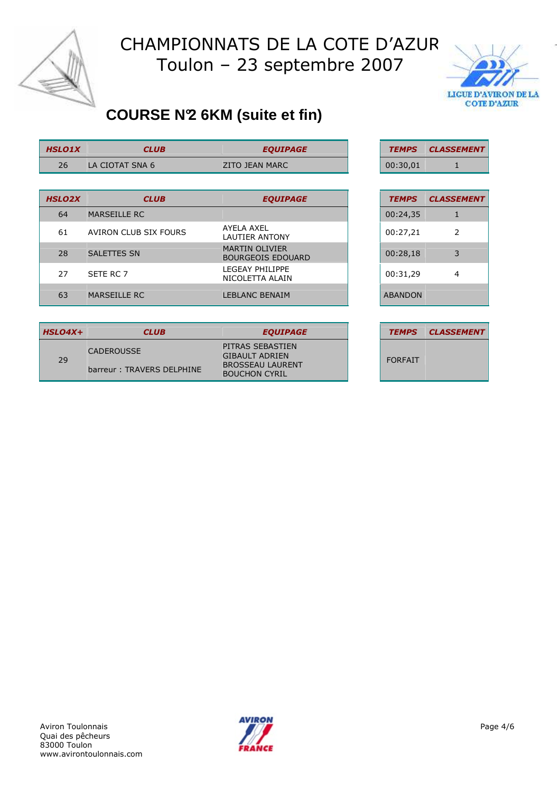



## **COURSE N°2 6KM (suite et fin)**

| <b>HSLO1X</b> | CLUB            | <b>EOUIPAGE</b> | <b>TEMPS</b> | <b>CLASSE</b> |
|---------------|-----------------|-----------------|--------------|---------------|
| 26            | LA CIOTAT SNA 6 | ZITO JEAN MARC  | 00:30,01     |               |

| <b>HSLO2X</b> | <b>CLUB</b>           | <b>EQUIPAGE</b>                                   | <b>TEMPS</b>   | <b>CLASSEMENT</b> |
|---------------|-----------------------|---------------------------------------------------|----------------|-------------------|
| 64            | <b>MARSEILLE RC</b>   |                                                   | 00:24,35       |                   |
| 61            | AVIRON CLUB SIX FOURS | AYELA AXEL<br>LAUTIER ANTONY                      | 00:27,21       | 2                 |
| 28            | <b>SALETTES SN</b>    | <b>MARTIN OLIVIER</b><br><b>BOURGEOIS EDOUARD</b> | 00:28,18       | 3                 |
| 27            | SETE RC 7             | LEGEAY PHILIPPE<br>NICOLETTA ALAIN                | 00:31,29       | 4                 |
| 63            | <b>MARSEILLE RC</b>   | <b>LEBLANC BENAIM</b>                             | <b>ABANDON</b> |                   |

| <b>TEMPS</b>   | <b>CLASSEMENT</b> |
|----------------|-------------------|
| 00:24,35       | 1                 |
| 00:27,21       | 2                 |
| 00:28,18       | 3                 |
| 00:31,29       | 4                 |
| <b>ABANDON</b> |                   |

TEMPS CLASSEMENT

| <b>HSLO4X+</b> | <b>CLUB</b>                                    | <b>EQUIPAGE</b>                                                                              |                | <b>TEMPS CLASSEMENT</b> |
|----------------|------------------------------------------------|----------------------------------------------------------------------------------------------|----------------|-------------------------|
| 29             | <b>CADEROUSSE</b><br>barreur: TRAVERS DELPHINE | PITRAS SEBASTIEN<br><b>GIBAULT ADRIEN</b><br><b>BROSSEAU LAURENT</b><br><b>BOUCHON CYRIL</b> | <b>FORFAIT</b> |                         |

| <b>TEMPS</b>   | <b>CLASSEMENT</b> |
|----------------|-------------------|
|                |                   |
| <b>FORFAIT</b> |                   |
|                |                   |

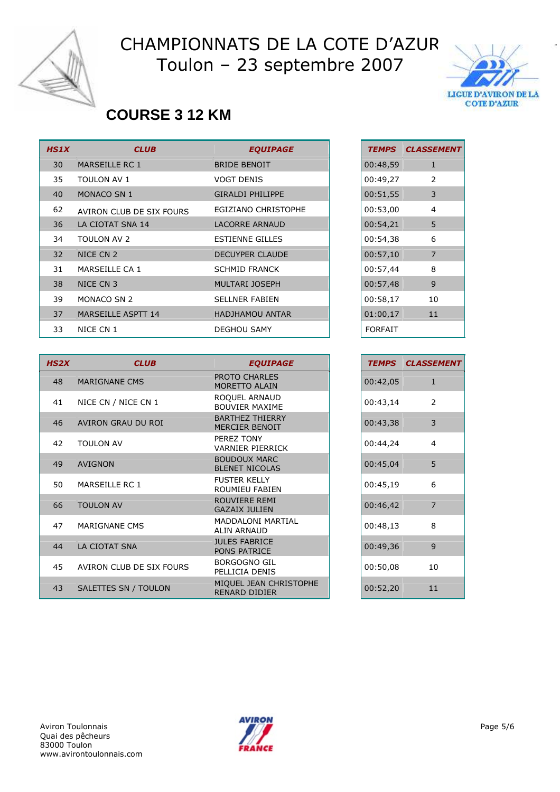



#### **COURSE 3 12 KM**

| <b>HS1X</b> | <b>CLUB</b>              | <b>EQUIPAGE</b>         | <b>TEMPS</b>   | <b>CLASSEMENT</b> |
|-------------|--------------------------|-------------------------|----------------|-------------------|
| 30          | MARSEILLE RC 1           | <b>BRIDE BENOIT</b>     | 00:48,59       | $\mathbf{1}$      |
| 35          | <b>TOULON AV 1</b>       | <b>VOGT DENIS</b>       | 00:49,27       | 2                 |
| 40          | <b>MONACO SN 1</b>       | <b>GIRALDI PHILIPPE</b> | 00:51,55       | 3                 |
| 62          | AVIRON CLUB DE SIX FOURS | EGIZIANO CHRISTOPHE     | 00:53,00       | $\overline{4}$    |
| 36          | LA CIOTAT SNA 14         | <b>LACORRE ARNAUD</b>   | 00:54,21       | 5                 |
| 34          | <b>TOULON AV 2</b>       | <b>ESTIENNE GILLES</b>  | 00:54,38       | 6                 |
| 32          | NICE CN 2                | <b>DECUYPER CLAUDE</b>  | 00:57,10       | 7                 |
| 31          | MARSEILLE CA 1           | <b>SCHMID FRANCK</b>    | 00:57,44       | 8                 |
| 38          | NICE CN 3                | <b>MULTARI JOSEPH</b>   | 00:57,48       | 9                 |
| 39          | <b>MONACO SN 2</b>       | <b>SELLNER FABIEN</b>   | 00:58,17       | 10                |
| 37          | MARSEILLE ASPTT 14       | <b>HADJHAMOU ANTAR</b>  | 01:00,17       | 11                |
| 33          | NICE CN 1                | <b>DEGHOU SAMY</b>      | <b>FORFAIT</b> |                   |

| HS2X | <b>CLUB</b>              | <b>EQUIPAGE</b>                                 | <b>TEMPS</b> | <b>CLASSEMENT</b> |
|------|--------------------------|-------------------------------------------------|--------------|-------------------|
|      |                          |                                                 |              |                   |
| 48   | <b>MARIGNANE CMS</b>     | PROTO CHARLES<br><b>MORETTO ALAIN</b>           | 00:42,05     | $\mathbf{1}$      |
| 41   | NICE CN / NICE CN 1      | ROQUEL ARNAUD<br><b>BOUVIER MAXIME</b>          | 00:43,14     | 2                 |
| 46   | AVIRON GRAU DU ROI       | <b>BARTHEZ THIERRY</b><br><b>MERCIER BENOIT</b> | 00:43,38     | 3                 |
| 42   | <b>TOULON AV</b>         | PFRF7 TONY<br><b>VARNIER PIERRICK</b>           | 00:44,24     | $\overline{4}$    |
| 49   | <b>AVIGNON</b>           | <b>BOUDOUX MARC</b><br><b>BLENET NICOLAS</b>    | 00:45,04     | 5                 |
| 50   | MARSEILLE RC 1           | <b>FUSTER KELLY</b><br><b>ROUMIEU FABIEN</b>    | 00:45,19     | 6                 |
| 66   | <b>TOULON AV</b>         | ROUVIERE REMI<br><b>GAZAIX JULIEN</b>           | 00:46,42     | $\overline{7}$    |
| 47   | MARIGNANE CMS            | <b>MADDALONI MARTIAL</b><br><b>ALIN ARNAUD</b>  | 00:48,13     | 8                 |
| 44   | LA CIOTAT SNA            | <b>JULES FABRICE</b><br><b>PONS PATRICE</b>     | 00:49,36     | 9                 |
| 45   | AVIRON CLUB DE SIX FOURS | <b>BORGOGNO GIL</b><br>PELLICIA DENIS           | 00:50,08     | 10                |
| 43   | SALETTES SN / TOULON     | MIQUEL JEAN CHRISTOPHE<br><b>RENARD DIDIER</b>  | 00:52,20     | 11                |

| TEMPS    | <b>CLASSEMENT</b> |
|----------|-------------------|
| 00:48,59 | 1                 |
| 00:49,27 | 2                 |
| 00:51,55 | 3                 |
| 00:53,00 | 4                 |
| 00:54,21 | 5                 |
| 00:54,38 | 6                 |
| 00:57,10 | 7                 |
| 00:57,44 | 8                 |
| 00:57,48 | 9                 |
| 00:58,17 | 10                |
| 01:00,17 | 11                |
| FORFAIT  |                   |

| <b>TEMPS</b> | <b>CLASSEMENT</b> |
|--------------|-------------------|
| 00:42,05     | 1                 |
| 00:43,14     | 2                 |
| 00:43,38     | 3                 |
| 00:44,24     | 4                 |
| 00:45,04     | 5                 |
| 00:45,19     | 6                 |
| 00:46,42     | 7                 |
| 00:48,13     | 8                 |
| 00:49,36     | 9                 |
| 00:50,08     | 10                |
| 00:52,20     | 11                |